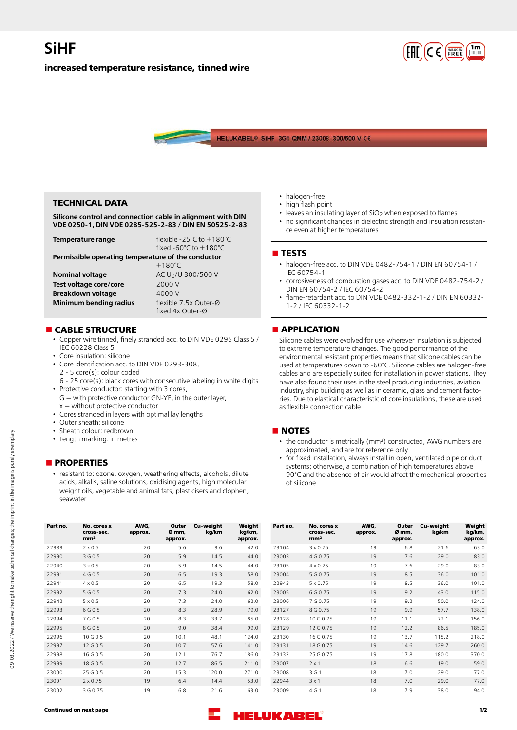

### **increased temperature resistance, tinned wire**



## **TECHNICAL DATA**

**Silicone control and connection cable in alignment with DIN VDE 0250-1, DIN VDE 0285-525-2-83 / DIN EN 50525-2-83**

| Temperature range                                                      | flexible -25 $^{\circ}$ C to +180 $^{\circ}$ C<br>fixed $-60^{\circ}$ C to $+180^{\circ}$ C |  |  |  |  |
|------------------------------------------------------------------------|---------------------------------------------------------------------------------------------|--|--|--|--|
| Permissible operating temperature of the conductor<br>$+180^{\circ}$ C |                                                                                             |  |  |  |  |

| <b>Nominal voltage</b> | AC U <sub>0</sub> /U 300/500 V |  |  |  |
|------------------------|--------------------------------|--|--|--|
| Test voltage core/core | 2000 V                         |  |  |  |
| Breakdown voltage      | 4000 V                         |  |  |  |
| Minimum bending radius | flexible 7.5x Outer-Ø          |  |  |  |
|                        | fixed 4x Outer-Ø               |  |  |  |

## **n** CABLE STRUCTURE

- Copper wire tinned, finely stranded acc. to DIN VDE 0295 Class 5 / IEC 60228 Class 5
- Core insulation: silicone
- Core identification acc. to DIN VDE 0293-308, 2 - 5 core(s): colour coded
- 6 25 core(s): black cores with consecutive labeling in white digits
- Protective conductor: starting with 3 cores,  $G =$  with protective conductor  $GN-YE$ , in the outer layer,
- $x =$  without protective conductor • Cores stranded in layers with optimal lay lengths
- 
- Outer sheath: silicone
- Sheath colour: redbrown • Length marking: in metres

## **nPROPERTIES**

• resistant to: ozone, oxygen, weathering effects, alcohols, dilute acids, alkalis, saline solutions, oxidising agents, high molecular weight oils, vegetable and animal fats, plasticisers and clophen, seawater

- halogen-free
- high flash point
- leaves an insulating layer of SiO<sub>2</sub> when exposed to flames
- no significant changes in dielectric strength and insulation resistance even at higher temperatures

#### **n** TESTS

- halogen-free acc. to DIN VDE 0482-754-1 / DIN EN 60754-1 / IEC 60754-1
- corrosiveness of combustion gases acc. to DIN VDE 0482-754-2 / DIN EN 60754-2 / IEC 60754-2
- flame-retardant acc. to DIN VDE 0482-332-1-2 / DIN EN 60332- 1-2 / IEC 60332-1-2

### **nAPPLICATION**

Silicone cables were evolved for use wherever insulation is subjected to extreme temperature changes. The good performance of the environmental resistant properties means that silicone cables can be used at temperatures down to -60°C. Silicone cables are halogen-free cables and are especially suited for installation in power stations. They have also found their uses in the steel producing industries, aviation industry, ship building as well as in ceramic, glass and cement factories. Due to elastical characteristic of core insulations, these are used as flexible connection cable

### **NOTES**

- the conductor is metrically (mm²) constructed, AWG numbers are approximated, and are for reference only
- for fixed installation, always install in open, ventilated pipe or duct systems; otherwise, a combination of high temperatures above 90°C and the absence of air would affect the mechanical properties of silicone

| Part no. | No. cores x<br>cross-sec.<br>mm <sup>2</sup> | AWG.<br>approx. | Outer<br>Ø mm,<br>approx. | Cu-weight<br>kg/km | Weight<br>kg/km,<br>approx. | Part no. | No. cores x<br>cross-sec.<br>mm <sup>2</sup> | AWG,<br>approx. | Outer<br>Ø mm,<br>approx. | Cu-weight<br>kg/km | Weight<br>kg/km,<br>approx. |
|----------|----------------------------------------------|-----------------|---------------------------|--------------------|-----------------------------|----------|----------------------------------------------|-----------------|---------------------------|--------------------|-----------------------------|
| 22989    | $2 \times 0.5$                               | 20              | 5.6                       | 9.6                | 42.0                        | 23104    | $3 \times 0.75$                              | 19              | 6.8                       | 21.6               | 63.0                        |
| 22990    | 3 G 0.5                                      | 20              | 5.9                       | 14.5               | 44.0                        | 23003    | 4 G 0.75                                     | 19              | 7.6                       | 29.0               | 83.0                        |
| 22940    | $3 \times 0.5$                               | 20              | 5.9                       | 14.5               | 44.0                        | 23105    | $4 \times 0.75$                              | 19              | 7.6                       | 29.0               | 83.0                        |
| 22991    | 4 G 0.5                                      | 20              | 6.5                       | 19.3               | 58.0                        | 23004    | 5 G 0.75                                     | 19              | 8.5                       | 36.0               | 101.0                       |
| 22941    | $4 \times 0.5$                               | 20              | 6.5                       | 19.3               | 58.0                        | 22943    | $5 \times 0.75$                              | 19              | 8.5                       | 36.0               | 101.0                       |
| 22992    | 5 G 0.5                                      | 20              | 7.3                       | 24.0               | 62.0                        | 23005    | 6 G 0.75                                     | 19              | 9.2                       | 43.0               | 115.0                       |
| 22942    | $5 \times 0.5$                               | 20              | 7.3                       | 24.0               | 62.0                        | 23006    | 7 G 0.75                                     | 19              | 9.2                       | 50.0               | 124.0                       |
| 22993    | 6 G 0.5                                      | 20              | 8.3                       | 28.9               | 79.0                        | 23127    | 8 G 0.75                                     | 19              | 9.9                       | 57.7               | 138.0                       |
| 22994    | 7 G 0.5                                      | 20              | 8.3                       | 33.7               | 85.0                        | 23128    | 10 G 0.75                                    | 19              | 11.1                      | 72.1               | 156.0                       |
| 22995    | 8 G 0.5                                      | 20              | 9.0                       | 38.4               | 99.0                        | 23129    | 12 G 0.75                                    | 19              | 12.2                      | 86.5               | 185.0                       |
| 22996    | 10 G 0.5                                     | 20              | 10.1                      | 48.1               | 124.0                       | 23130    | 16 G 0.75                                    | 19              | 13.7                      | 115.2              | 218.0                       |
| 22997    | 12 G 0.5                                     | 20              | 10.7                      | 57.6               | 141.0                       | 23131    | 18 G 0.75                                    | 19              | 14.6                      | 129.7              | 260.0                       |
| 22998    | 16 G 0.5                                     | 20              | 12.1                      | 76.7               | 186.0                       | 23132    | 25 G 0.75                                    | 19              | 17.8                      | 180.0              | 370.0                       |
| 22999    | 18 G 0.5                                     | 20              | 12.7                      | 86.5               | 211.0                       | 23007    | $2 \times 1$                                 | 18              | 6.6                       | 19.0               | 59.0                        |
| 23000    | 25 G 0.5                                     | 20              | 15.3                      | 120.0              | 271.0                       | 23008    | 3 G 1                                        | 18              | 7.0                       | 29.0               | 77.0                        |
| 23001    | $2 \times 0.75$                              | 19              | 6.4                       | 14.4               | 53.0                        | 22944    | $3 \times 1$                                 | 18              | 7.0                       | 29.0               | 77.0                        |
| 23002    | 3 G 0.75                                     | 19              | 6.8                       | 21.6               | 63.0                        | 23009    | 4 G 1                                        | 18              | 7.9                       | 38.0               | 94.0                        |